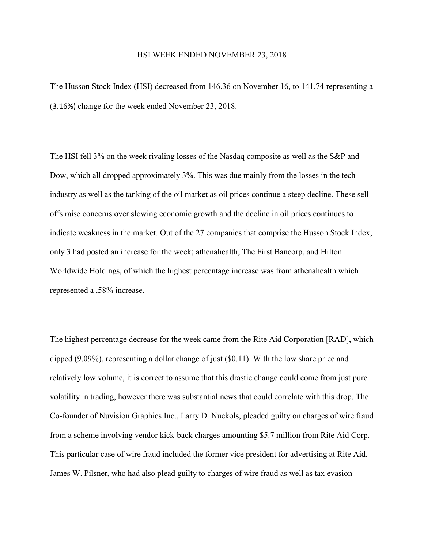## HSI WEEK ENDED NOVEMBER 23, 2018

The Husson Stock Index (HSI) decreased from 146.36 on November 16, to 141.74 representing a (3.16%) change for the week ended November 23, 2018.

The HSI fell 3% on the week rivaling losses of the Nasdaq composite as well as the S&P and Dow, which all dropped approximately 3%. This was due mainly from the losses in the tech industry as well as the tanking of the oil market as oil prices continue a steep decline. These selloffs raise concerns over slowing economic growth and the decline in oil prices continues to indicate weakness in the market. Out of the 27 companies that comprise the Husson Stock Index, only 3 had posted an increase for the week; athenahealth, The First Bancorp, and Hilton Worldwide Holdings, of which the highest percentage increase was from athenahealth which represented a .58% increase.

The highest percentage decrease for the week came from the Rite Aid Corporation [RAD], which dipped (9.09%), representing a dollar change of just (\$0.11). With the low share price and relatively low volume, it is correct to assume that this drastic change could come from just pure volatility in trading, however there was substantial news that could correlate with this drop. The Co-founder of Nuvision Graphics Inc., Larry D. Nuckols, pleaded guilty on charges of wire fraud from a scheme involving vendor kick-back charges amounting \$5.7 million from Rite Aid Corp. This particular case of wire fraud included the former vice president for advertising at Rite Aid, James W. Pilsner, who had also plead guilty to charges of wire fraud as well as tax evasion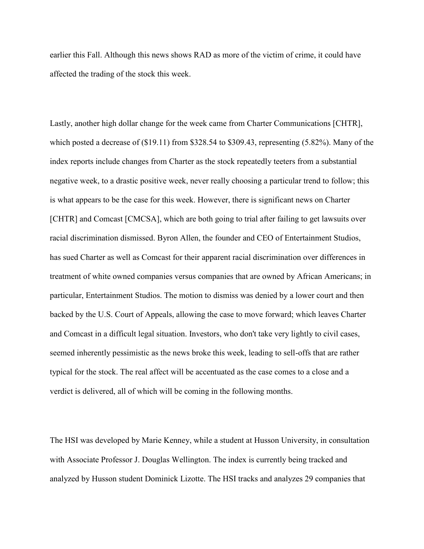earlier this Fall. Although this news shows RAD as more of the victim of crime, it could have affected the trading of the stock this week.

Lastly, another high dollar change for the week came from Charter Communications [CHTR], which posted a decrease of (\$19.11) from \$328.54 to \$309.43, representing (5.82%). Many of the index reports include changes from Charter as the stock repeatedly teeters from a substantial negative week, to a drastic positive week, never really choosing a particular trend to follow; this is what appears to be the case for this week. However, there is significant news on Charter [CHTR] and Comcast [CMCSA], which are both going to trial after failing to get lawsuits over racial discrimination dismissed. Byron Allen, the founder and CEO of Entertainment Studios, has sued Charter as well as Comcast for their apparent racial discrimination over differences in treatment of white owned companies versus companies that are owned by African Americans; in particular, Entertainment Studios. The motion to dismiss was denied by a lower court and then backed by the U.S. Court of Appeals, allowing the case to move forward; which leaves Charter and Comcast in a difficult legal situation. Investors, who don't take very lightly to civil cases, seemed inherently pessimistic as the news broke this week, leading to sell-offs that are rather typical for the stock. The real affect will be accentuated as the case comes to a close and a verdict is delivered, all of which will be coming in the following months.

The HSI was developed by Marie Kenney, while a student at Husson University, in consultation with Associate Professor J. Douglas Wellington. The index is currently being tracked and analyzed by Husson student Dominick Lizotte. The HSI tracks and analyzes 29 companies that